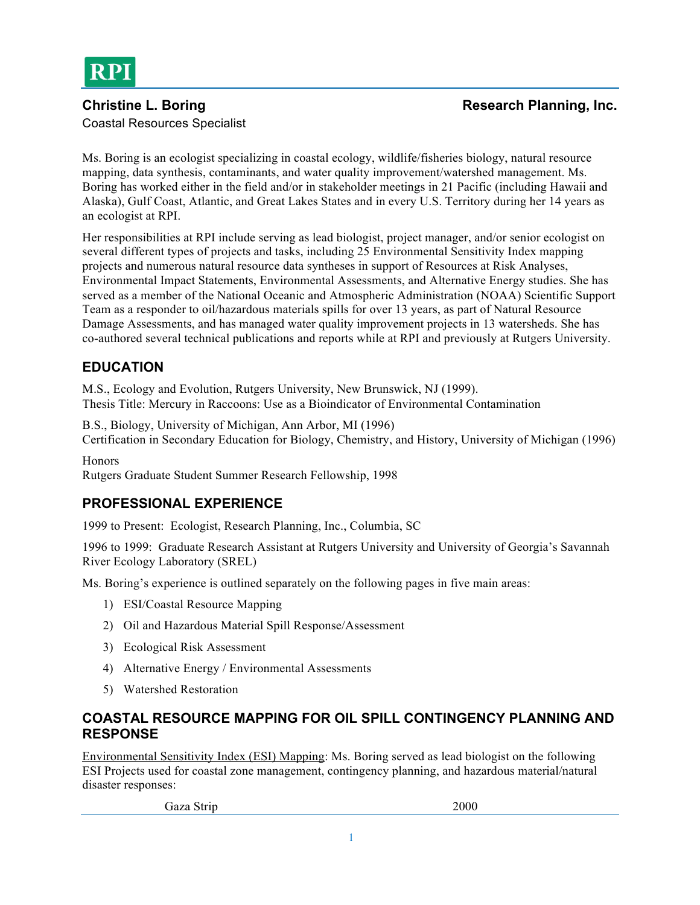

#### **Christine L. Boring Research Planning, Inc. Research Planning, Inc. Research Planning**, Inc. Coastal Resources Specialist

Ms. Boring is an ecologist specializing in coastal ecology, wildlife/fisheries biology, natural resource mapping, data synthesis, contaminants, and water quality improvement/watershed management. Ms. Boring has worked either in the field and/or in stakeholder meetings in 21 Pacific (including Hawaii and Alaska), Gulf Coast, Atlantic, and Great Lakes States and in every U.S. Territory during her 14 years as an ecologist at RPI.

Her responsibilities at RPI include serving as lead biologist, project manager, and/or senior ecologist on several different types of projects and tasks, including 25 Environmental Sensitivity Index mapping projects and numerous natural resource data syntheses in support of Resources at Risk Analyses, Environmental Impact Statements, Environmental Assessments, and Alternative Energy studies. She has served as a member of the National Oceanic and Atmospheric Administration (NOAA) Scientific Support Team as a responder to oil/hazardous materials spills for over 13 years, as part of Natural Resource Damage Assessments, and has managed water quality improvement projects in 13 watersheds. She has co-authored several technical publications and reports while at RPI and previously at Rutgers University.

# **EDUCATION**

M.S., Ecology and Evolution, Rutgers University, New Brunswick, NJ (1999). Thesis Title: Mercury in Raccoons: Use as a Bioindicator of Environmental Contamination

B.S., Biology, University of Michigan, Ann Arbor, MI (1996) Certification in Secondary Education for Biology, Chemistry, and History, University of Michigan (1996)

Honors

Rutgers Graduate Student Summer Research Fellowship, 1998

# **PROFESSIONAL EXPERIENCE**

1999 to Present: Ecologist, Research Planning, Inc., Columbia, SC

1996 to 1999: Graduate Research Assistant at Rutgers University and University of Georgia's Savannah River Ecology Laboratory (SREL)

Ms. Boring's experience is outlined separately on the following pages in five main areas:

- 1) ESI/Coastal Resource Mapping
- 2) Oil and Hazardous Material Spill Response/Assessment
- 3) Ecological Risk Assessment
- 4) Alternative Energy / Environmental Assessments
- 5) Watershed Restoration

#### **COASTAL RESOURCE MAPPING FOR OIL SPILL CONTINGENCY PLANNING AND RESPONSE**

Environmental Sensitivity Index (ESI) Mapping: Ms. Boring served as lead biologist on the following ESI Projects used for coastal zone management, contingency planning, and hazardous material/natural disaster responses:

Gaza Strip 2000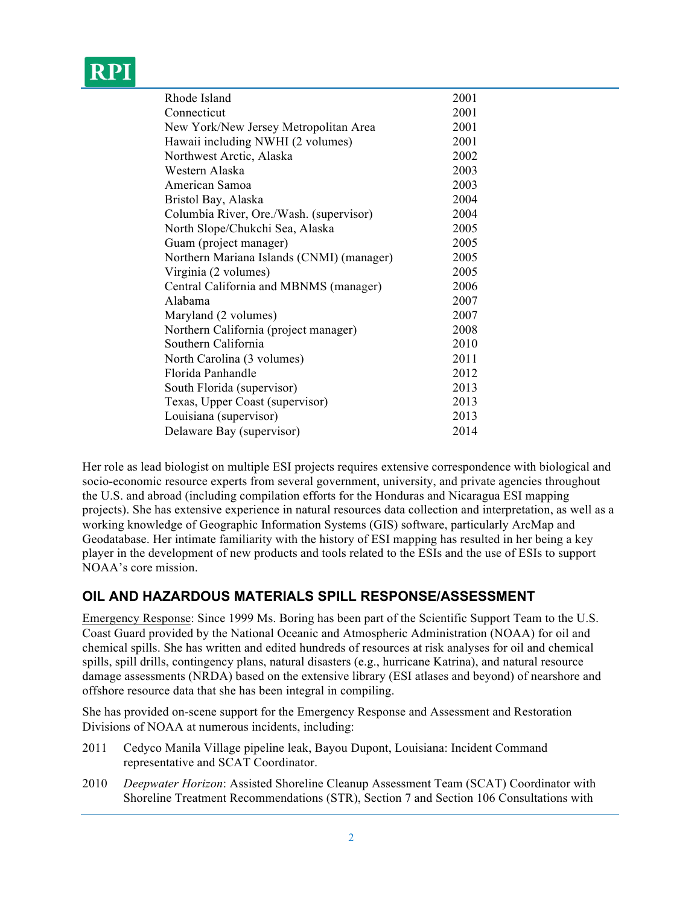# RPI

| Rhode Island                              | 2001 |
|-------------------------------------------|------|
| Connecticut                               | 2001 |
| New York/New Jersey Metropolitan Area     | 2001 |
| Hawaii including NWHI (2 volumes)         | 2001 |
| Northwest Arctic, Alaska                  | 2002 |
| Western Alaska                            | 2003 |
| American Samoa                            | 2003 |
| Bristol Bay, Alaska                       | 2004 |
| Columbia River, Ore./Wash. (supervisor)   | 2004 |
| North Slope/Chukchi Sea, Alaska           | 2005 |
| Guam (project manager)                    | 2005 |
| Northern Mariana Islands (CNMI) (manager) | 2005 |
| Virginia (2 volumes)                      | 2005 |
| Central California and MBNMS (manager)    | 2006 |
| Alabama                                   | 2007 |
| Maryland (2 volumes)                      | 2007 |
| Northern California (project manager)     | 2008 |
| Southern California                       | 2010 |
| North Carolina (3 volumes)                | 2011 |
| Florida Panhandle                         | 2012 |
| South Florida (supervisor)                | 2013 |
| Texas, Upper Coast (supervisor)           | 2013 |
| Louisiana (supervisor)                    | 2013 |
| Delaware Bay (supervisor)                 | 2014 |
|                                           |      |

Her role as lead biologist on multiple ESI projects requires extensive correspondence with biological and socio-economic resource experts from several government, university, and private agencies throughout the U.S. and abroad (including compilation efforts for the Honduras and Nicaragua ESI mapping projects). She has extensive experience in natural resources data collection and interpretation, as well as a working knowledge of Geographic Information Systems (GIS) software, particularly ArcMap and Geodatabase. Her intimate familiarity with the history of ESI mapping has resulted in her being a key player in the development of new products and tools related to the ESIs and the use of ESIs to support NOAA's core mission.

# **OIL AND HAZARDOUS MATERIALS SPILL RESPONSE/ASSESSMENT**

Emergency Response: Since 1999 Ms. Boring has been part of the Scientific Support Team to the U.S. Coast Guard provided by the National Oceanic and Atmospheric Administration (NOAA) for oil and chemical spills. She has written and edited hundreds of resources at risk analyses for oil and chemical spills, spill drills, contingency plans, natural disasters (e.g., hurricane Katrina), and natural resource damage assessments (NRDA) based on the extensive library (ESI atlases and beyond) of nearshore and offshore resource data that she has been integral in compiling.

She has provided on-scene support for the Emergency Response and Assessment and Restoration Divisions of NOAA at numerous incidents, including:

- 2011 Cedyco Manila Village pipeline leak, Bayou Dupont, Louisiana: Incident Command representative and SCAT Coordinator.
- 2010 *Deepwater Horizon*: Assisted Shoreline Cleanup Assessment Team (SCAT) Coordinator with Shoreline Treatment Recommendations (STR), Section 7 and Section 106 Consultations with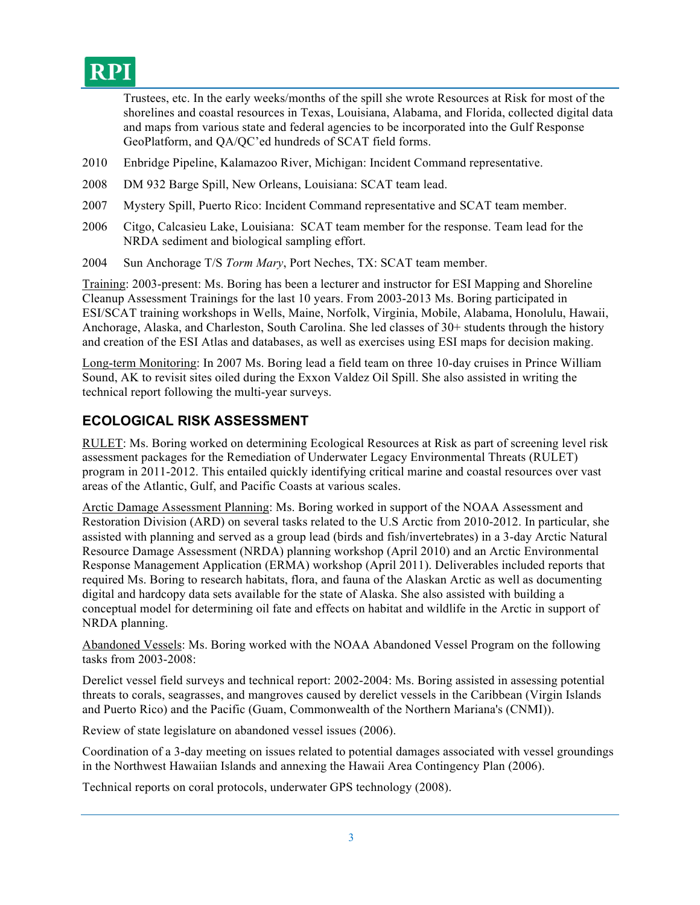

Trustees, etc. In the early weeks/months of the spill she wrote Resources at Risk for most of the shorelines and coastal resources in Texas, Louisiana, Alabama, and Florida, collected digital data and maps from various state and federal agencies to be incorporated into the Gulf Response GeoPlatform, and QA/QC'ed hundreds of SCAT field forms.

- 2010 Enbridge Pipeline, Kalamazoo River, Michigan: Incident Command representative.
- 2008 DM 932 Barge Spill, New Orleans, Louisiana: SCAT team lead.
- 2007 Mystery Spill, Puerto Rico: Incident Command representative and SCAT team member.
- 2006 Citgo, Calcasieu Lake, Louisiana: SCAT team member for the response. Team lead for the NRDA sediment and biological sampling effort.
- 2004 Sun Anchorage T/S *Torm Mary*, Port Neches, TX: SCAT team member.

Training: 2003-present: Ms. Boring has been a lecturer and instructor for ESI Mapping and Shoreline Cleanup Assessment Trainings for the last 10 years. From 2003-2013 Ms. Boring participated in ESI/SCAT training workshops in Wells, Maine, Norfolk, Virginia, Mobile, Alabama, Honolulu, Hawaii, Anchorage, Alaska, and Charleston, South Carolina. She led classes of 30+ students through the history and creation of the ESI Atlas and databases, as well as exercises using ESI maps for decision making.

Long-term Monitoring: In 2007 Ms. Boring lead a field team on three 10-day cruises in Prince William Sound, AK to revisit sites oiled during the Exxon Valdez Oil Spill. She also assisted in writing the technical report following the multi-year surveys.

#### **ECOLOGICAL RISK ASSESSMENT**

RULET: Ms. Boring worked on determining Ecological Resources at Risk as part of screening level risk assessment packages for the Remediation of Underwater Legacy Environmental Threats (RULET) program in 2011-2012. This entailed quickly identifying critical marine and coastal resources over vast areas of the Atlantic, Gulf, and Pacific Coasts at various scales.

Arctic Damage Assessment Planning: Ms. Boring worked in support of the NOAA Assessment and Restoration Division (ARD) on several tasks related to the U.S Arctic from 2010-2012. In particular, she assisted with planning and served as a group lead (birds and fish/invertebrates) in a 3-day Arctic Natural Resource Damage Assessment (NRDA) planning workshop (April 2010) and an Arctic Environmental Response Management Application (ERMA) workshop (April 2011). Deliverables included reports that required Ms. Boring to research habitats, flora, and fauna of the Alaskan Arctic as well as documenting digital and hardcopy data sets available for the state of Alaska. She also assisted with building a conceptual model for determining oil fate and effects on habitat and wildlife in the Arctic in support of NRDA planning.

Abandoned Vessels: Ms. Boring worked with the NOAA Abandoned Vessel Program on the following tasks from 2003-2008:

Derelict vessel field surveys and technical report: 2002-2004: Ms. Boring assisted in assessing potential threats to corals, seagrasses, and mangroves caused by derelict vessels in the Caribbean (Virgin Islands and Puerto Rico) and the Pacific (Guam, Commonwealth of the Northern Mariana's (CNMI)).

Review of state legislature on abandoned vessel issues (2006).

Coordination of a 3-day meeting on issues related to potential damages associated with vessel groundings in the Northwest Hawaiian Islands and annexing the Hawaii Area Contingency Plan (2006).

Technical reports on coral protocols, underwater GPS technology (2008).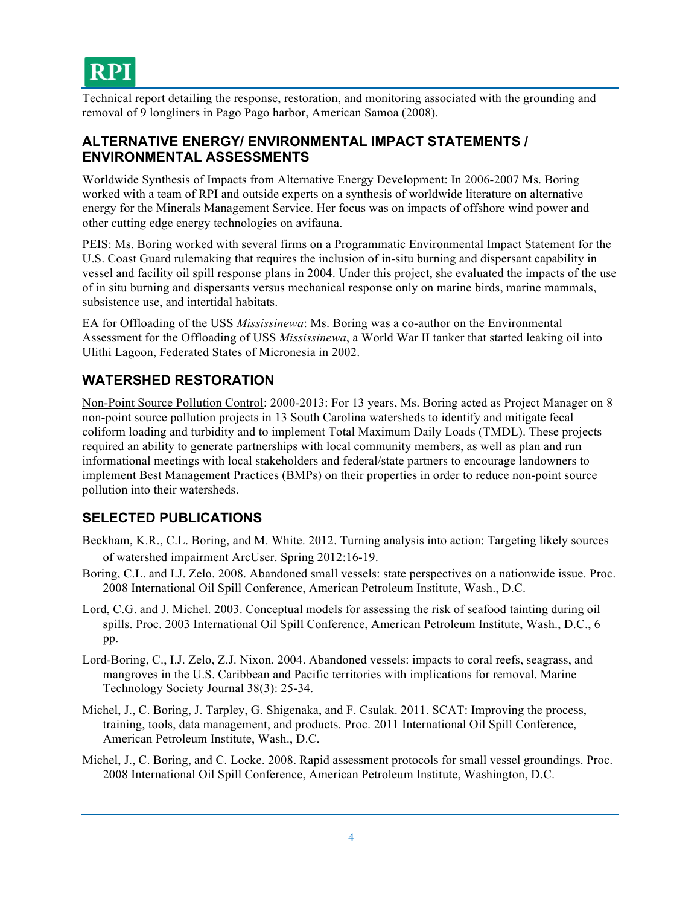Technical report detailing the response, restoration, and monitoring associated with the grounding and removal of 9 longliners in Pago Pago harbor, American Samoa (2008).

#### **ALTERNATIVE ENERGY/ ENVIRONMENTAL IMPACT STATEMENTS / ENVIRONMENTAL ASSESSMENTS**

Worldwide Synthesis of Impacts from Alternative Energy Development: In 2006-2007 Ms. Boring worked with a team of RPI and outside experts on a synthesis of worldwide literature on alternative energy for the Minerals Management Service. Her focus was on impacts of offshore wind power and other cutting edge energy technologies on avifauna.

PEIS: Ms. Boring worked with several firms on a Programmatic Environmental Impact Statement for the U.S. Coast Guard rulemaking that requires the inclusion of in-situ burning and dispersant capability in vessel and facility oil spill response plans in 2004. Under this project, she evaluated the impacts of the use of in situ burning and dispersants versus mechanical response only on marine birds, marine mammals, subsistence use, and intertidal habitats.

EA for Offloading of the USS *Mississinewa*: Ms. Boring was a co-author on the Environmental Assessment for the Offloading of USS *Mississinewa*, a World War II tanker that started leaking oil into Ulithi Lagoon, Federated States of Micronesia in 2002.

# **WATERSHED RESTORATION**

Non-Point Source Pollution Control: 2000-2013: For 13 years, Ms. Boring acted as Project Manager on 8 non-point source pollution projects in 13 South Carolina watersheds to identify and mitigate fecal coliform loading and turbidity and to implement Total Maximum Daily Loads (TMDL). These projects required an ability to generate partnerships with local community members, as well as plan and run informational meetings with local stakeholders and federal/state partners to encourage landowners to implement Best Management Practices (BMPs) on their properties in order to reduce non-point source pollution into their watersheds.

# **SELECTED PUBLICATIONS**

- Beckham, K.R., C.L. Boring, and M. White. 2012. Turning analysis into action: Targeting likely sources of watershed impairment ArcUser. Spring 2012:16-19.
- Boring, C.L. and I.J. Zelo. 2008. Abandoned small vessels: state perspectives on a nationwide issue. Proc. 2008 International Oil Spill Conference, American Petroleum Institute, Wash., D.C.
- Lord, C.G. and J. Michel. 2003. Conceptual models for assessing the risk of seafood tainting during oil spills. Proc. 2003 International Oil Spill Conference, American Petroleum Institute, Wash., D.C., 6 pp.
- Lord-Boring, C., I.J. Zelo, Z.J. Nixon. 2004. Abandoned vessels: impacts to coral reefs, seagrass, and mangroves in the U.S. Caribbean and Pacific territories with implications for removal. Marine Technology Society Journal 38(3): 25-34.
- Michel, J., C. Boring, J. Tarpley, G. Shigenaka, and F. Csulak. 2011. SCAT: Improving the process, training, tools, data management, and products. Proc. 2011 International Oil Spill Conference, American Petroleum Institute, Wash., D.C.
- Michel, J., C. Boring, and C. Locke. 2008. Rapid assessment protocols for small vessel groundings. Proc. 2008 International Oil Spill Conference, American Petroleum Institute, Washington, D.C.